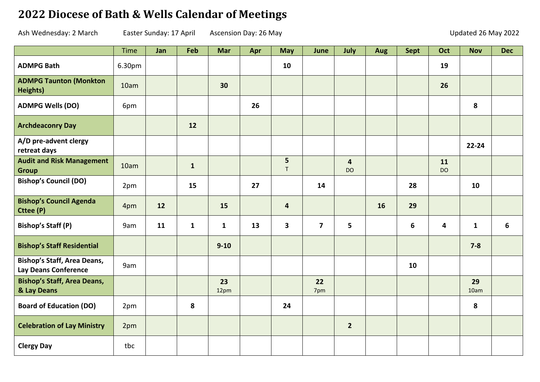## **2022 Diocese of Bath & Wells Calendar of Meetings**

Ash Wednesday: 2 March Easter Sunday: 17 April Ascension Day: 26 May Updated 26 May 2022

|                                                                   | Time   | Jan | Feb          | <b>Mar</b>   | Apr | <b>May</b>              | June                    | July                        | Aug | <b>Sept</b> | Oct             | <b>Nov</b>   | <b>Dec</b> |
|-------------------------------------------------------------------|--------|-----|--------------|--------------|-----|-------------------------|-------------------------|-----------------------------|-----|-------------|-----------------|--------------|------------|
| <b>ADMPG Bath</b>                                                 | 6.30pm |     |              |              |     | 10                      |                         |                             |     |             | 19              |              |            |
| <b>ADMPG Taunton (Monkton</b><br>Heights)                         | 10am   |     |              | 30           |     |                         |                         |                             |     |             | 26              |              |            |
| <b>ADMPG Wells (DO)</b>                                           | 6pm    |     |              |              | 26  |                         |                         |                             |     |             |                 | 8            |            |
| <b>Archdeaconry Day</b>                                           |        |     | 12           |              |     |                         |                         |                             |     |             |                 |              |            |
| A/D pre-advent clergy<br>retreat days                             |        |     |              |              |     |                         |                         |                             |     |             |                 | $22 - 24$    |            |
| <b>Audit and Risk Management</b><br><b>Group</b>                  | 10am   |     | $\mathbf{1}$ |              |     | 5<br>$\mathsf T$        |                         | $\overline{4}$<br><b>DO</b> |     |             | 11<br><b>DO</b> |              |            |
| <b>Bishop's Council (DO)</b>                                      | 2pm    |     | 15           |              | 27  |                         | 14                      |                             |     | 28          |                 | 10           |            |
| <b>Bishop's Council Agenda</b><br>Cttee (P)                       | 4pm    | 12  |              | 15           |     | $\overline{\mathbf{4}}$ |                         |                             | 16  | 29          |                 |              |            |
| <b>Bishop's Staff (P)</b>                                         | 9am    | 11  | $\mathbf{1}$ | $\mathbf{1}$ | 13  | $\overline{\mathbf{3}}$ | $\overline{\mathbf{z}}$ | 5                           |     | 6           | 4               | $\mathbf{1}$ | 6          |
| <b>Bishop's Staff Residential</b>                                 |        |     |              | $9 - 10$     |     |                         |                         |                             |     |             |                 | $7 - 8$      |            |
| <b>Bishop's Staff, Area Deans,</b><br><b>Lay Deans Conference</b> | 9am    |     |              |              |     |                         |                         |                             |     | 10          |                 |              |            |
| <b>Bishop's Staff, Area Deans,</b><br>& Lay Deans                 |        |     |              | 23<br>12pm   |     |                         | 22<br>7pm               |                             |     |             |                 | 29<br>10am   |            |
| <b>Board of Education (DO)</b>                                    | 2pm    |     | 8            |              |     | 24                      |                         |                             |     |             |                 | 8            |            |
| <b>Celebration of Lay Ministry</b>                                | 2pm    |     |              |              |     |                         |                         | $\overline{2}$              |     |             |                 |              |            |
| <b>Clergy Day</b>                                                 | tbc    |     |              |              |     |                         |                         |                             |     |             |                 |              |            |